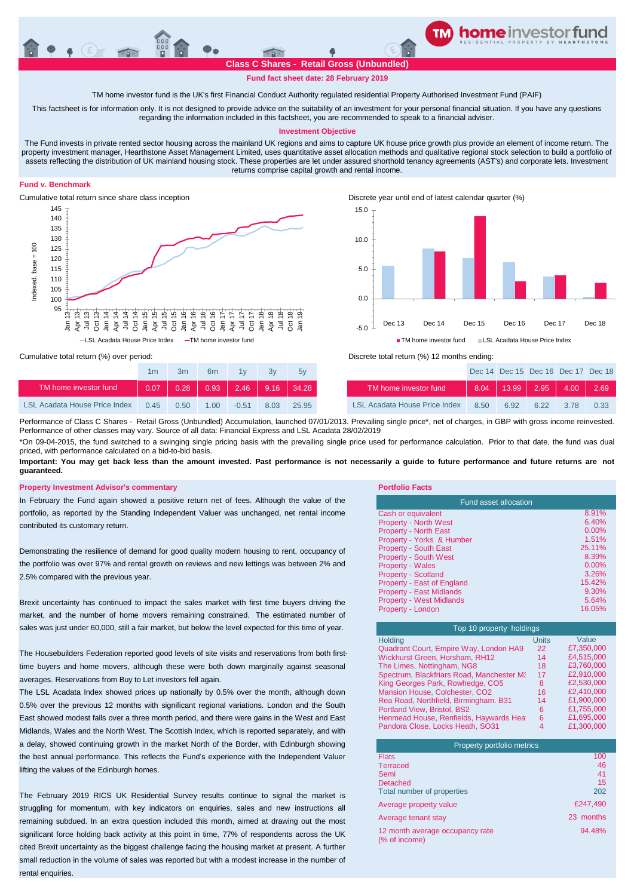# **Fund fact sheet date: 28 February 2019**

TM home investor fund is the UK's first Financial Conduct Authority regulated residential Property Authorised Investment Fund (PAIF)

This factsheet is for information only. It is not designed to provide advice on the suitability of an investment for your personal financial situation. If you have any questions regarding the information included in this factsheet, you are recommended to speak to a financial adviser.

## **Investment Objective**

The Fund invests in private rented sector housing across the mainland UK regions and aims to capture UK house price growth plus provide an element of income return. The property investment manager, Hearthstone Asset Management Limited, uses quantitative asset allocation methods and qualitative regional stock selection to build a portfolio of assets reflecting the distribution of UK mainland housing stock. These properties are let under assured shorthold tenancy agreements (AST's) and corporate lets. Investment returns comprise capital growth and rental income.

## **Fund v. Benchmark**



Cumulative total return since share class inception Discrete year until end of latest calendar quarter (%)



### Cumulative total return (%) over period:

|                                      | 1m   | 3m   | 6 <sub>m</sub> | 1v      | 3v          | 5v    |                                      |
|--------------------------------------|------|------|----------------|---------|-------------|-------|--------------------------------------|
| TM home investor fund                | 0.07 | 0.28 | $-$ 0.93       |         | $2.46$ 9.16 | 34.28 | TM home investor fund                |
| <b>LSL Acadata House Price Index</b> | 0.45 | 0.50 | 1. $001$       | $-0.51$ | 8.03        | 25.95 | <b>LSL Acadata House Price Index</b> |



| 1 <sub>m</sub> | 3m   | 6 <sub>m</sub> | 1v      | 3v                                  | 5v    |                               |      |      | Dec 14 Dec 15 Dec 16 Dec 17 Dec 18             |             |      |
|----------------|------|----------------|---------|-------------------------------------|-------|-------------------------------|------|------|------------------------------------------------|-------------|------|
| 0.07           |      |                |         | $0.28$   0.93   2.46   9.16   34.28 |       | TM home investor fund         | 8.04 |      | $\parallel$ 13.99 $\parallel$ 2.95 $\parallel$ | $4.00$ 2.69 |      |
| 0.45           | 0.50 | 1.00           | $-0.51$ | 8.03                                | 25.95 | LSL Acadata House Price Index | 8.50 | 6.92 | 6.22                                           | 3.78        | 0.33 |

Performance of Class C Shares - Retail Gross (Unbundled) Accumulation, launched 07/01/2013. Prevailing single price\*, net of charges, in GBP with gross income reinvested. Performance of other classes may vary. Source of all data: Financial Express and LSL Acadata 28/02/2019

\*On 09-04-2015, the fund switched to a swinging single pricing basis with the prevailing single price used for performance calculation. Prior to that date, the fund was dual priced, with performance calculated on a bid-to-bid basis.

Important: You may get back less than the amount invested. Past performance is not necessarily a guide to future performance and future returns are not **guaranteed.** 

## **Property Investment Advisor's commentary Portfolio Facts**

In February the Fund again showed a positive return net of fees. Although the value of the portfolio, as reported by the Standing Independent Valuer was unchanged, net rental income contributed its customary return.

Demonstrating the resilience of demand for good quality modern housing to rent, occupancy of the portfolio was over 97% and rental growth on reviews and new lettings was between 2% and 2.5% compared with the previous year.

Brexit uncertainty has continued to impact the sales market with first time buyers driving the market, and the number of home movers remaining constrained. The estimated number of sales was just under 60,000, still a fair market, but below the level expected for this time of year.

The Housebuilders Federation reported good levels of site visits and reservations from both firsttime buyers and home movers, although these were both down marginally against seasonal averages. Reservations from Buy to Let investors fell again.

The LSL Acadata Index showed prices up nationally by 0.5% over the month, although down 0.5% over the previous 12 months with significant regional variations. London and the South East showed modest falls over a three month period, and there were gains in the West and East Midlands, Wales and the North West. The Scottish Index, which is reported separately, and with a delay, showed continuing growth in the market North of the Border, with Edinburgh showing the best annual performance. This reflects the Fund's experience with the Independent Valuer lifting the values of the Edinburgh homes.

The February 2019 RICS UK Residential Survey results continue to signal the market is struggling for momentum, with key indicators on enquiries, sales and new instructions all remaining subdued. In an extra question included this month, aimed at drawing out the most significant force holding back activity at this point in time, 77% of respondents across the UK cited Brexit uncertainty as the biggest challenge facing the housing market at present. A further small reduction in the volume of sales was reported but with a modest increase in the number of rental enquiries.

| Fund asset allocation           |          |  |  |  |
|---------------------------------|----------|--|--|--|
| Cash or equivalent              | 8.91%    |  |  |  |
| <b>Property - North West</b>    | 6.40%    |  |  |  |
| <b>Property - North East</b>    | $0.00\%$ |  |  |  |
| Property - Yorks & Humber       | 1.51%    |  |  |  |
| <b>Property - South East</b>    | 25.11%   |  |  |  |
| <b>Property - South West</b>    | 8.39%    |  |  |  |
| <b>Property - Wales</b>         | $0.00\%$ |  |  |  |
| <b>Property - Scotland</b>      | 3.26%    |  |  |  |
| Property - East of England      | 15.42%   |  |  |  |
| <b>Property - East Midlands</b> | 9.30%    |  |  |  |
| <b>Property - West Midlands</b> | 5.64%    |  |  |  |
| Property - London               | 16.05%   |  |  |  |

| Top 10 property holdings                  |              |            |  |  |  |
|-------------------------------------------|--------------|------------|--|--|--|
| Holding                                   | <b>Units</b> | Value      |  |  |  |
| Quadrant Court, Empire Way, London HA9    | 22           | £7,350,000 |  |  |  |
| Wickhurst Green. Horsham. RH12            | 14           | £4,515,000 |  |  |  |
| The Limes, Nottingham, NG8                | 18           | £3.760,000 |  |  |  |
| Spectrum, Blackfriars Road, Manchester M3 | 17           | £2.910.000 |  |  |  |
| King Georges Park, Rowhedge, CO5          | 8            | £2.530.000 |  |  |  |
| Mansion House, Colchester, CO2            | 16           | £2,410,000 |  |  |  |
| Rea Road, Northfield, Birmingham. B31     | 14           | £1,900,000 |  |  |  |
| Portland View, Bristol, BS2               | 6            | £1.755.000 |  |  |  |
| Henmead House, Renfields, Haywards Heat   | 6            | £1.695.000 |  |  |  |
| Pandora Close, Locks Heath, SO31          | 4            | £1.300.000 |  |  |  |

|                 | Property portfolio metrics                       |           |
|-----------------|--------------------------------------------------|-----------|
| <b>Flats</b>    |                                                  | 100       |
| <b>Terraced</b> |                                                  | 46        |
| Semi            |                                                  | 41        |
|                 | <b>Detached</b>                                  | 15        |
|                 | Total number of properties                       | 202       |
|                 | Average property value                           | £247.490  |
|                 | Average tenant stay                              | 23 months |
|                 | 12 month average occupancy rate<br>(% of income) | 94.48%    |